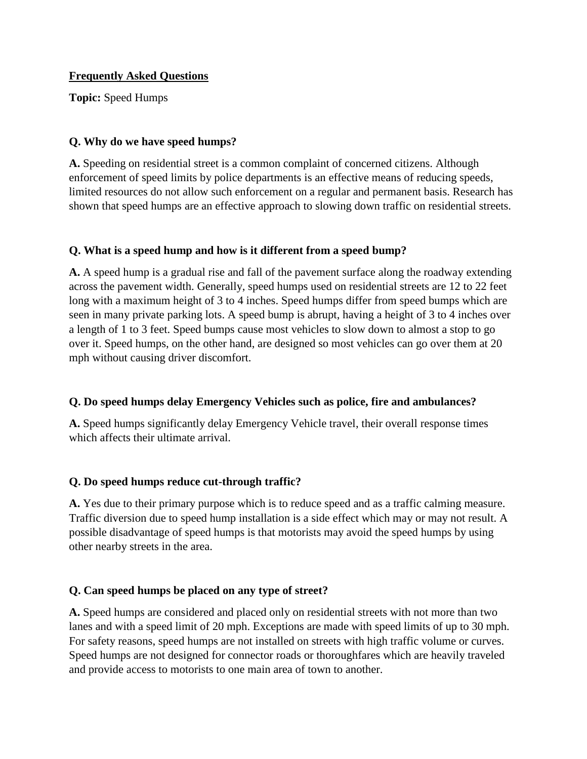#### **Frequently Asked Questions**

**Topic:** Speed Humps

## **Q. Why do we have speed humps?**

**A.** Speeding on residential street is a common complaint of concerned citizens. Although enforcement of speed limits by police departments is an effective means of reducing speeds, limited resources do not allow such enforcement on a regular and permanent basis. Research has shown that speed humps are an effective approach to slowing down traffic on residential streets.

### **Q. What is a speed hump and how is it different from a speed bump?**

**A.** A speed hump is a gradual rise and fall of the pavement surface along the roadway extending across the pavement width. Generally, speed humps used on residential streets are 12 to 22 feet long with a maximum height of 3 to 4 inches. Speed humps differ from speed bumps which are seen in many private parking lots. A speed bump is abrupt, having a height of 3 to 4 inches over a length of 1 to 3 feet. Speed bumps cause most vehicles to slow down to almost a stop to go over it. Speed humps, on the other hand, are designed so most vehicles can go over them at 20 mph without causing driver discomfort.

# **Q. Do speed humps delay Emergency Vehicles such as police, fire and ambulances?**

**A.** Speed humps significantly delay Emergency Vehicle travel, their overall response times which affects their ultimate arrival.

# **Q. Do speed humps reduce cut-through traffic?**

**A.** Yes due to their primary purpose which is to reduce speed and as a traffic calming measure. Traffic diversion due to speed hump installation is a side effect which may or may not result. A possible disadvantage of speed humps is that motorists may avoid the speed humps by using other nearby streets in the area.

# **Q. Can speed humps be placed on any type of street?**

**A.** Speed humps are considered and placed only on residential streets with not more than two lanes and with a speed limit of 20 mph. Exceptions are made with speed limits of up to 30 mph. For safety reasons, speed humps are not installed on streets with high traffic volume or curves. Speed humps are not designed for connector roads or thoroughfares which are heavily traveled and provide access to motorists to one main area of town to another.